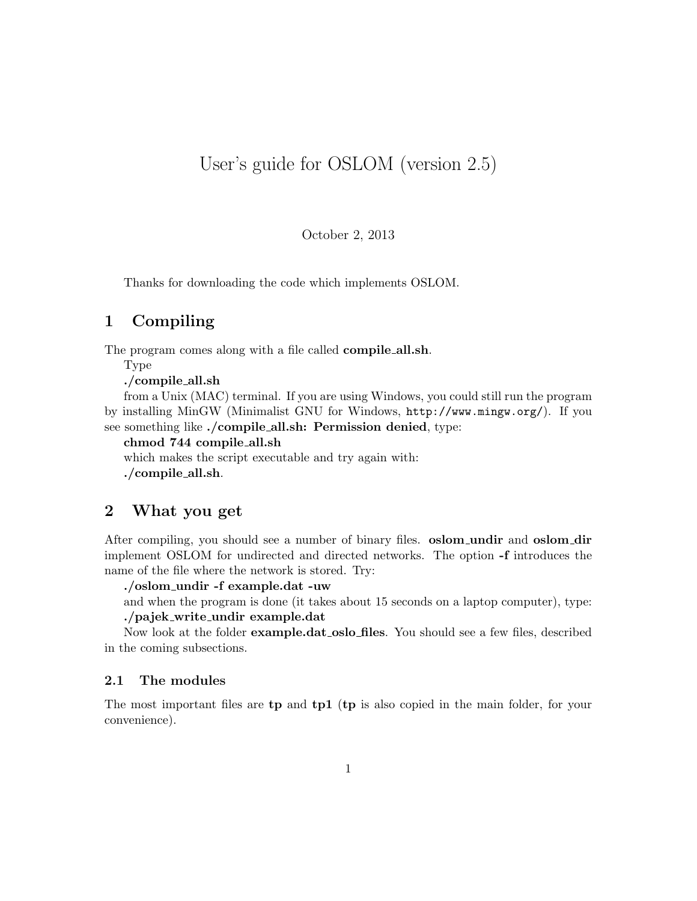# User's guide for OSLOM (version 2.5)

October 2, 2013

Thanks for downloading the code which implements OSLOM.

# 1 Compiling

The program comes along with a file called **compile\_all.sh**.

Type

./compile all.sh

from a Unix (MAC) terminal. If you are using Windows, you could still run the program by installing MinGW (Minimalist GNU for Windows, http://www.mingw.org/). If you see something like ./compile\_all.sh: Permission denied, type:

chmod 744 compile all.sh

which makes the script executable and try again with: ./compile all.sh.

# 2 What you get

After compiling, you should see a number of binary files. **oslom\_undir** and **oslom\_dir** implement OSLOM for undirected and directed networks. The option -f introduces the name of the file where the network is stored. Try:

./oslom undir -f example.dat -uw

and when the program is done (it takes about 15 seconds on a laptop computer), type: ./pajek write undir example.dat

Now look at the folder example.dat\_oslo\_files. You should see a few files, described in the coming subsections.

#### 2.1 The modules

The most important files are **tp** and **tp1** (**tp** is also copied in the main folder, for your convenience).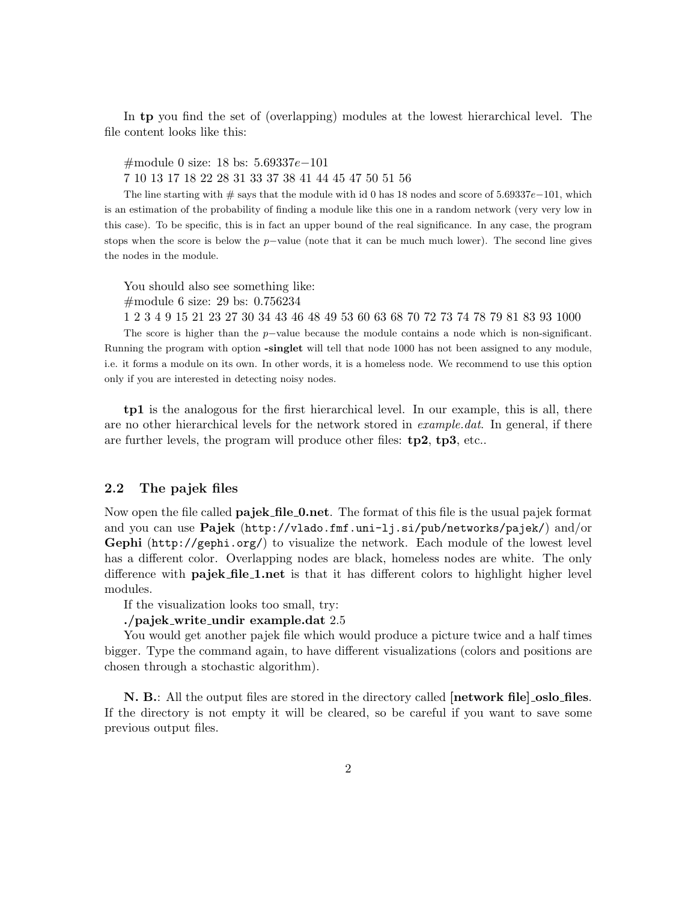In tp you find the set of (overlapping) modules at the lowest hierarchical level. The file content looks like this:

#module 0 size: 18 bs: 5.69337e−101

7 10 13 17 18 22 28 31 33 37 38 41 44 45 47 50 51 56

The line starting with  $\#$  says that the module with id 0 has 18 nodes and score of 5.69337e−101, which is an estimation of the probability of finding a module like this one in a random network (very very low in this case). To be specific, this is in fact an upper bound of the real significance. In any case, the program stops when the score is below the p−value (note that it can be much much lower). The second line gives the nodes in the module.

You should also see something like:

#module 6 size: 29 bs: 0.756234

1 2 3 4 9 15 21 23 27 30 34 43 46 48 49 53 60 63 68 70 72 73 74 78 79 81 83 93 1000

The score is higher than the p−value because the module contains a node which is non-significant. Running the program with option -singlet will tell that node 1000 has not been assigned to any module, i.e. it forms a module on its own. In other words, it is a homeless node. We recommend to use this option only if you are interested in detecting noisy nodes.

tp1 is the analogous for the first hierarchical level. In our example, this is all, there are no other hierarchical levels for the network stored in *example.dat*. In general, if there are further levels, the program will produce other files:  $tp2$ ,  $tp3$ , etc...

### 2.2 The pajek files

Now open the file called **pajek\_file\_0.net**. The format of this file is the usual pajek format and you can use Pajek (http://vlado.fmf.uni-lj.si/pub/networks/pajek/) and/or Gephi (http://gephi.org/) to visualize the network. Each module of the lowest level has a different color. Overlapping nodes are black, homeless nodes are white. The only difference with **pajek\_file\_1.net** is that it has different colors to highlight higher level modules.

If the visualization looks too small, try:

#### ./pajek write undir example.dat 2.5

You would get another pajek file which would produce a picture twice and a half times bigger. Type the command again, to have different visualizations (colors and positions are chosen through a stochastic algorithm).

N. B.: All the output files are stored in the directory called  $[network file]$  oslo files. If the directory is not empty it will be cleared, so be careful if you want to save some previous output files.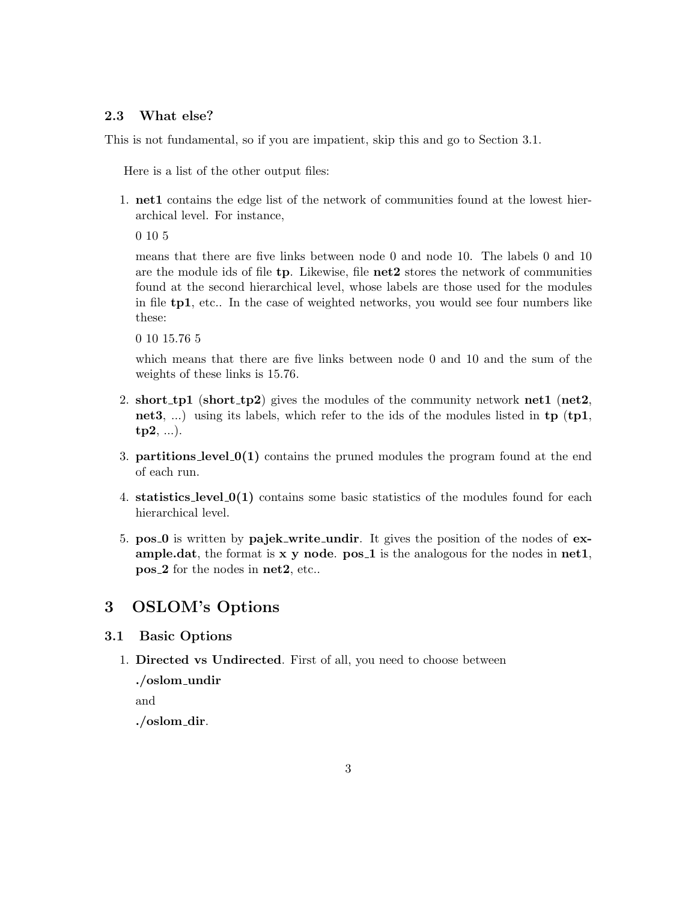### 2.3 What else?

This is not fundamental, so if you are impatient, skip this and go to Section 3.1.

Here is a list of the other output files:

1. net1 contains the edge list of the network of communities found at the lowest hierarchical level. For instance,

0 10 5

means that there are five links between node 0 and node 10. The labels 0 and 10 are the module ids of file  $tp$ . Likewise, file  $net2$  stores the network of communities found at the second hierarchical level, whose labels are those used for the modules in file tp1, etc.. In the case of weighted networks, you would see four numbers like these:

0 10 15.76 5

which means that there are five links between node 0 and 10 and the sum of the weights of these links is 15.76.

- 2. short  $tp1$  (short  $tp2$ ) gives the modules of the community network net1 (net2, net3, ...) using its labels, which refer to the ids of the modules listed in tp (tp1,  $tp2, ...).$
- 3. **partitions level**  $0(1)$  contains the pruned modules the program found at the end of each run.
- 4. statistics level 0(1) contains some basic statistics of the modules found for each hierarchical level.
- 5. pos 0 is written by pajek write undir. It gives the position of the nodes of example.dat, the format is  $x \, y$  node.  $pos_1$  is the analogous for the nodes in net1, pos 2 for the nodes in net2, etc..

# 3 OSLOM's Options

### 3.1 Basic Options

1. Directed vs Undirected. First of all, you need to choose between

./oslom\_undir

and

./oslom dir.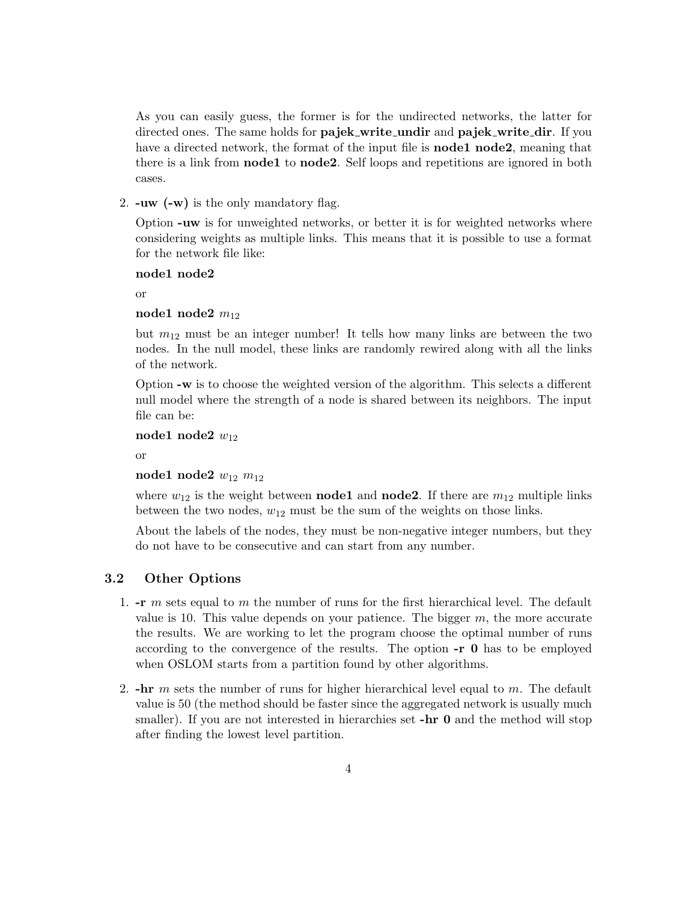As you can easily guess, the former is for the undirected networks, the latter for directed ones. The same holds for **pajek\_write\_undir** and **pajek\_write\_dir**. If you have a directed network, the format of the input file is **node1 node2**, meaning that there is a link from node1 to node2. Self loops and repetitions are ignored in both cases.

2. -uw (-w) is the only mandatory flag.

Option -uw is for unweighted networks, or better it is for weighted networks where considering weights as multiple links. This means that it is possible to use a format for the network file like:

node1 node2

or

#### node1 node2  $m_{12}$

but  $m_{12}$  must be an integer number! It tells how many links are between the two nodes. In the null model, these links are randomly rewired along with all the links of the network.

Option -w is to choose the weighted version of the algorithm. This selects a different null model where the strength of a node is shared between its neighbors. The input file can be:

node1 node2  $w_{12}$ 

or

### node1 node2  $w_{12}$   $m_{12}$

where  $w_{12}$  is the weight between **node1** and **node2**. If there are  $m_{12}$  multiple links between the two nodes,  $w_{12}$  must be the sum of the weights on those links.

About the labels of the nodes, they must be non-negative integer numbers, but they do not have to be consecutive and can start from any number.

## 3.2 Other Options

- 1.  $-r$  m sets equal to m the number of runs for the first hierarchical level. The default value is 10. This value depends on your patience. The bigger  $m$ , the more accurate the results. We are working to let the program choose the optimal number of runs according to the convergence of the results. The option -r 0 has to be employed when OSLOM starts from a partition found by other algorithms.
- 2.  $\text{-}\mathbf{hr}$  m sets the number of runs for higher hierarchical level equal to m. The default value is 50 (the method should be faster since the aggregated network is usually much smaller). If you are not interested in hierarchies set **-hr 0** and the method will stop after finding the lowest level partition.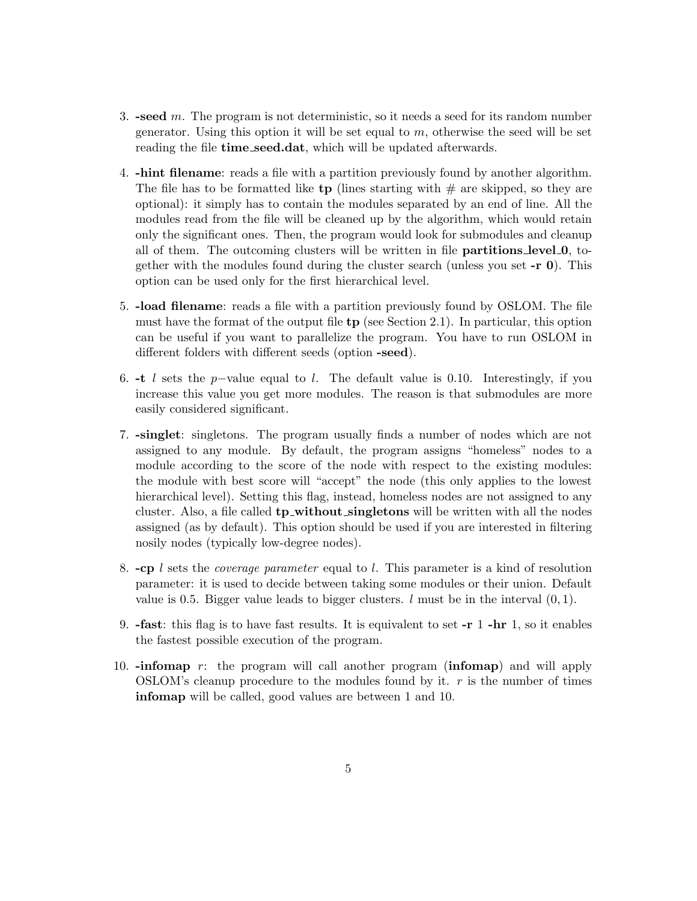- 3. -seed m. The program is not deterministic, so it needs a seed for its random number generator. Using this option it will be set equal to  $m$ , otherwise the seed will be set reading the file **time\_seed.dat**, which will be updated afterwards.
- 4. -hint filename: reads a file with a partition previously found by another algorithm. The file has to be formatted like tp (lines starting with  $\#$  are skipped, so they are optional): it simply has to contain the modules separated by an end of line. All the modules read from the file will be cleaned up by the algorithm, which would retain only the significant ones. Then, the program would look for submodules and cleanup all of them. The outcoming clusters will be written in file partitions level 0, together with the modules found during the cluster search (unless you set  $-\mathbf{r}$  0). This option can be used only for the first hierarchical level.
- 5. -load filename: reads a file with a partition previously found by OSLOM. The file must have the format of the output file  $tp$  (see Section 2.1). In particular, this option can be useful if you want to parallelize the program. You have to run OSLOM in different folders with different seeds (option -seed).
- 6. -t l sets the p−value equal to l. The default value is 0.10. Interestingly, if you increase this value you get more modules. The reason is that submodules are more easily considered significant.
- 7. -singlet: singletons. The program usually finds a number of nodes which are not assigned to any module. By default, the program assigns "homeless" nodes to a module according to the score of the node with respect to the existing modules: the module with best score will "accept" the node (this only applies to the lowest hierarchical level). Setting this flag, instead, homeless nodes are not assigned to any cluster. Also, a file called **tp\_without\_singletons** will be written with all the nodes assigned (as by default). This option should be used if you are interested in filtering nosily nodes (typically low-degree nodes).
- 8.  $-cp$  l sets the *coverage parameter* equal to l. This parameter is a kind of resolution parameter: it is used to decide between taking some modules or their union. Default value is 0.5. Bigger value leads to bigger clusters.  $l$  must be in the interval  $(0, 1)$ .
- 9. -fast: this flag is to have fast results. It is equivalent to set -r 1 -hr 1, so it enables the fastest possible execution of the program.
- 10.  $\text{-}\text{informap } r:$  the program will call another program ( $\text{informap}$ ) and will apply OSLOM's cleanup procedure to the modules found by it.  $r$  is the number of times infomap will be called, good values are between 1 and 10.